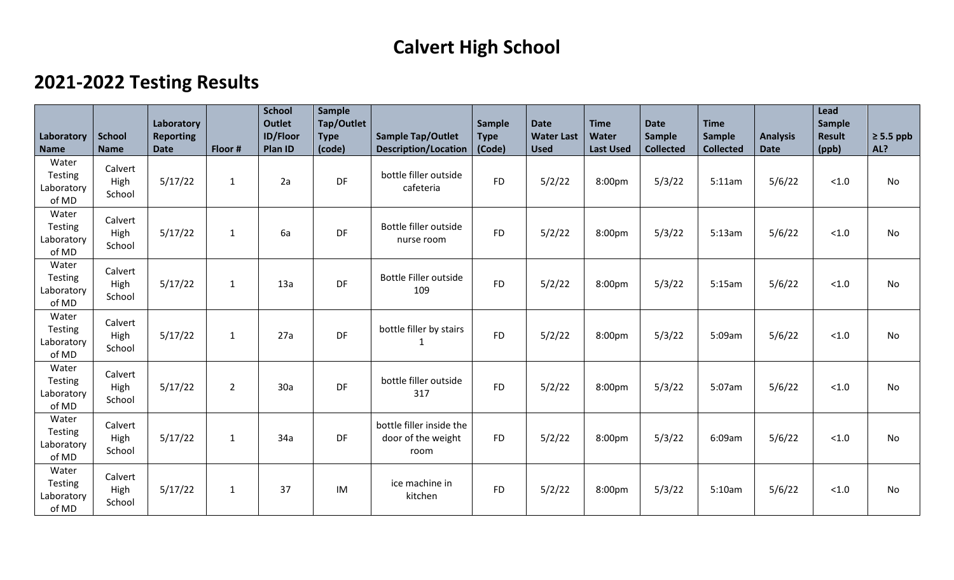## **Calvert High School**

## **2021-2022 Testing Results**

| Laboratory<br><b>Name</b>               | <b>School</b><br><b>Name</b> | Laboratory<br><b>Reporting</b><br><b>Date</b> | Floor #        | <b>School</b><br><b>Outlet</b><br><b>ID/Floor</b><br>Plan ID | <b>Sample</b><br>Tap/Outlet<br><b>Type</b><br>(code) | <b>Sample Tap/Outlet</b><br><b>Description/Location</b> | <b>Sample</b><br><b>Type</b><br>(Code) | <b>Date</b><br><b>Water Last</b><br><b>Used</b> | <b>Time</b><br>Water<br><b>Last Used</b> | <b>Date</b><br><b>Sample</b><br><b>Collected</b> | <b>Time</b><br><b>Sample</b><br><b>Collected</b> | <b>Analysis</b><br><b>Date</b> | Lead<br>Sample<br><b>Result</b><br>(ppb) | $\geq 5.5$ ppb<br>AL? |
|-----------------------------------------|------------------------------|-----------------------------------------------|----------------|--------------------------------------------------------------|------------------------------------------------------|---------------------------------------------------------|----------------------------------------|-------------------------------------------------|------------------------------------------|--------------------------------------------------|--------------------------------------------------|--------------------------------|------------------------------------------|-----------------------|
| Water<br>Testing<br>Laboratory<br>of MD | Calvert<br>High<br>School    | 5/17/22                                       | $\mathbf{1}$   | 2a                                                           | DF                                                   | bottle filler outside<br>cafeteria                      | <b>FD</b>                              | 5/2/22                                          | 8:00pm                                   | 5/3/22                                           | 5:11am                                           | 5/6/22                         | < 1.0                                    | <b>No</b>             |
| Water<br>Testing<br>Laboratory<br>of MD | Calvert<br>High<br>School    | 5/17/22                                       | $\mathbf{1}$   | 6a                                                           | DF                                                   | Bottle filler outside<br>nurse room                     | <b>FD</b>                              | 5/2/22                                          | 8:00pm                                   | 5/3/22                                           | 5:13am                                           | 5/6/22                         | < 1.0                                    | No                    |
| Water<br>Testing<br>Laboratory<br>of MD | Calvert<br>High<br>School    | 5/17/22                                       | $\mathbf{1}$   | 13a                                                          | DF                                                   | <b>Bottle Filler outside</b><br>109                     | <b>FD</b>                              | 5/2/22                                          | 8:00pm                                   | 5/3/22                                           | 5:15am                                           | 5/6/22                         | < 1.0                                    | <b>No</b>             |
| Water<br>Testing<br>Laboratory<br>of MD | Calvert<br>High<br>School    | 5/17/22                                       | 1              | 27a                                                          | DF                                                   | bottle filler by stairs<br>1                            | <b>FD</b>                              | 5/2/22                                          | 8:00pm                                   | 5/3/22                                           | 5:09am                                           | 5/6/22                         | < 1.0                                    | <b>No</b>             |
| Water<br>Testing<br>Laboratory<br>of MD | Calvert<br>High<br>School    | 5/17/22                                       | $\overline{2}$ | 30a                                                          | DF                                                   | bottle filler outside<br>317                            | <b>FD</b>                              | 5/2/22                                          | 8:00pm                                   | 5/3/22                                           | 5:07am                                           | 5/6/22                         | < 1.0                                    | No                    |
| Water<br>Testing<br>Laboratory<br>of MD | Calvert<br>High<br>School    | 5/17/22                                       | 1              | 34a                                                          | DF                                                   | bottle filler inside the<br>door of the weight<br>room  | <b>FD</b>                              | 5/2/22                                          | 8:00pm                                   | 5/3/22                                           | 6:09am                                           | 5/6/22                         | < 1.0                                    | <b>No</b>             |
| Water<br>Testing<br>Laboratory<br>of MD | Calvert<br>High<br>School    | 5/17/22                                       | $\mathbf{1}$   | 37                                                           | IM                                                   | ice machine in<br>kitchen                               | <b>FD</b>                              | 5/2/22                                          | 8:00pm                                   | 5/3/22                                           | 5:10am                                           | 5/6/22                         | < 1.0                                    | No                    |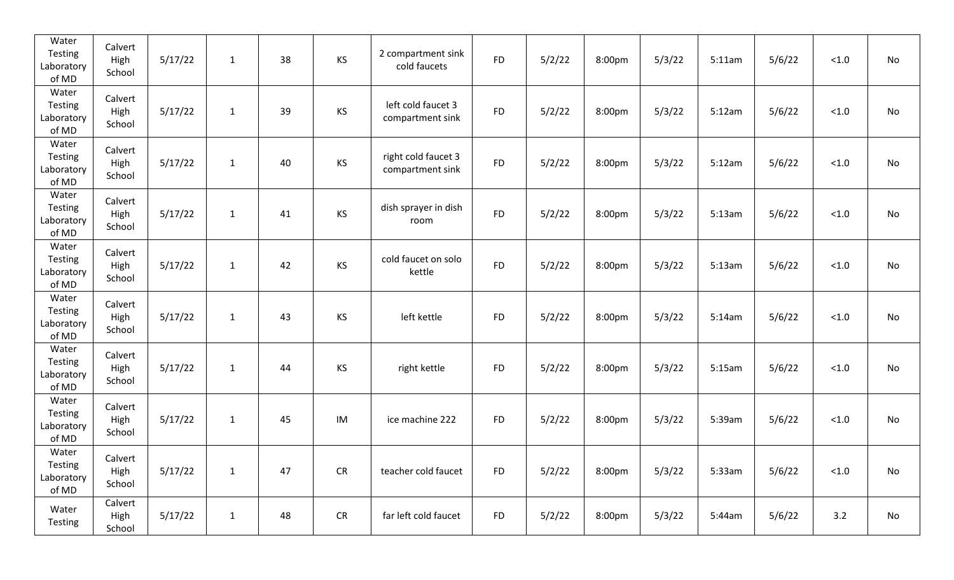| Water<br>Testing<br>Laboratory<br>of MD | Calvert<br>High<br>School | 5/17/22 | $\mathbf{1}$ | 38 | KS        | 2 compartment sink<br>cold faucets      | <b>FD</b> | 5/2/22 | 8:00pm | 5/3/22 | 5:11am | 5/6/22 | < 1.0  | No |
|-----------------------------------------|---------------------------|---------|--------------|----|-----------|-----------------------------------------|-----------|--------|--------|--------|--------|--------|--------|----|
| Water<br>Testing<br>Laboratory<br>of MD | Calvert<br>High<br>School | 5/17/22 | $\mathbf{1}$ | 39 | <b>KS</b> | left cold faucet 3<br>compartment sink  | <b>FD</b> | 5/2/22 | 8:00pm | 5/3/22 | 5:12am | 5/6/22 | < 1.0  | No |
| Water<br>Testing<br>Laboratory<br>of MD | Calvert<br>High<br>School | 5/17/22 | $\mathbf{1}$ | 40 | KS        | right cold faucet 3<br>compartment sink | <b>FD</b> | 5/2/22 | 8:00pm | 5/3/22 | 5:12am | 5/6/22 | < 1.0  | No |
| Water<br>Testing<br>Laboratory<br>of MD | Calvert<br>High<br>School | 5/17/22 | $\mathbf{1}$ | 41 | <b>KS</b> | dish sprayer in dish<br>room            | <b>FD</b> | 5/2/22 | 8:00pm | 5/3/22 | 5:13am | 5/6/22 | < 1.0  | No |
| Water<br>Testing<br>Laboratory<br>of MD | Calvert<br>High<br>School | 5/17/22 | $\mathbf{1}$ | 42 | <b>KS</b> | cold faucet on solo<br>kettle           | <b>FD</b> | 5/2/22 | 8:00pm | 5/3/22 | 5:13am | 5/6/22 | < 1.0  | No |
| Water<br>Testing<br>Laboratory<br>of MD | Calvert<br>High<br>School | 5/17/22 | $\mathbf{1}$ | 43 | KS        | left kettle                             | <b>FD</b> | 5/2/22 | 8:00pm | 5/3/22 | 5:14am | 5/6/22 | < 1.0  | No |
| Water<br>Testing<br>Laboratory<br>of MD | Calvert<br>High<br>School | 5/17/22 | $\mathbf{1}$ | 44 | <b>KS</b> | right kettle                            | <b>FD</b> | 5/2/22 | 8:00pm | 5/3/22 | 5:15am | 5/6/22 | < 1.0  | No |
| Water<br>Testing<br>Laboratory<br>of MD | Calvert<br>High<br>School | 5/17/22 | $\mathbf{1}$ | 45 | IM        | ice machine 222                         | <b>FD</b> | 5/2/22 | 8:00pm | 5/3/22 | 5:39am | 5/6/22 | < 1.0  | No |
| Water<br>Testing<br>Laboratory<br>of MD | Calvert<br>High<br>School | 5/17/22 | $\mathbf{1}$ | 47 | <b>CR</b> | teacher cold faucet                     | <b>FD</b> | 5/2/22 | 8:00pm | 5/3/22 | 5:33am | 5/6/22 | $<1.0$ | No |
| Water<br><b>Testing</b>                 | Calvert<br>High<br>School | 5/17/22 | $\mathbf{1}$ | 48 | CR        | far left cold faucet                    | <b>FD</b> | 5/2/22 | 8:00pm | 5/3/22 | 5:44am | 5/6/22 | 3.2    | No |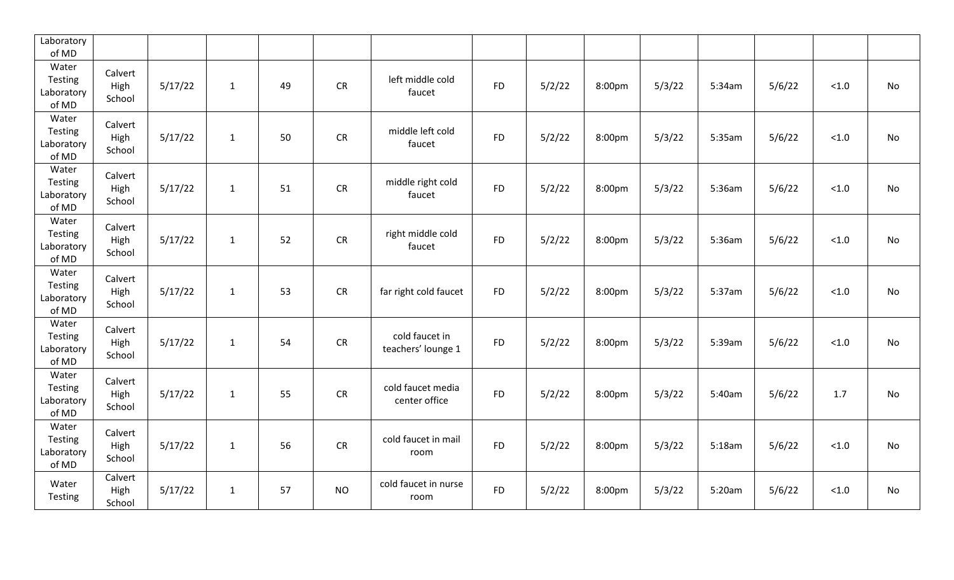| Laboratory<br>of MD                     |                           |         |              |    |            |                                      |           |        |        |        |        |        |        |    |
|-----------------------------------------|---------------------------|---------|--------------|----|------------|--------------------------------------|-----------|--------|--------|--------|--------|--------|--------|----|
| Water<br>Testing<br>Laboratory<br>of MD | Calvert<br>High<br>School | 5/17/22 | $\mathbf{1}$ | 49 | CR         | left middle cold<br>faucet           | <b>FD</b> | 5/2/22 | 8:00pm | 5/3/22 | 5:34am | 5/6/22 | $<1.0$ | No |
| Water<br>Testing<br>Laboratory<br>of MD | Calvert<br>High<br>School | 5/17/22 | $\mathbf{1}$ | 50 | CR         | middle left cold<br>faucet           | <b>FD</b> | 5/2/22 | 8:00pm | 5/3/22 | 5:35am | 5/6/22 | $<1.0$ | No |
| Water<br>Testing<br>Laboratory<br>of MD | Calvert<br>High<br>School | 5/17/22 | $\mathbf{1}$ | 51 | ${\sf CR}$ | middle right cold<br>faucet          | <b>FD</b> | 5/2/22 | 8:00pm | 5/3/22 | 5:36am | 5/6/22 | $<1.0$ | No |
| Water<br>Testing<br>Laboratory<br>of MD | Calvert<br>High<br>School | 5/17/22 | $\mathbf{1}$ | 52 | <b>CR</b>  | right middle cold<br>faucet          | <b>FD</b> | 5/2/22 | 8:00pm | 5/3/22 | 5:36am | 5/6/22 | < 1.0  | No |
| Water<br>Testing<br>Laboratory<br>of MD | Calvert<br>High<br>School | 5/17/22 | $\mathbf{1}$ | 53 | ${\sf CR}$ | far right cold faucet                | <b>FD</b> | 5/2/22 | 8:00pm | 5/3/22 | 5:37am | 5/6/22 | < 1.0  | No |
| Water<br>Testing<br>Laboratory<br>of MD | Calvert<br>High<br>School | 5/17/22 | $\mathbf{1}$ | 54 | CR         | cold faucet in<br>teachers' lounge 1 | <b>FD</b> | 5/2/22 | 8:00pm | 5/3/22 | 5:39am | 5/6/22 | < 1.0  | No |
| Water<br>Testing<br>Laboratory<br>of MD | Calvert<br>High<br>School | 5/17/22 | $\mathbf{1}$ | 55 | CR         | cold faucet media<br>center office   | <b>FD</b> | 5/2/22 | 8:00pm | 5/3/22 | 5:40am | 5/6/22 | 1.7    | No |
| Water<br>Testing<br>Laboratory<br>of MD | Calvert<br>High<br>School | 5/17/22 | $\mathbf{1}$ | 56 | ${\sf CR}$ | cold faucet in mail<br>room          | <b>FD</b> | 5/2/22 | 8:00pm | 5/3/22 | 5:18am | 5/6/22 | 1.0    | No |
| Water<br>Testing                        | Calvert<br>High<br>School | 5/17/22 | $\mathbf{1}$ | 57 | <b>NO</b>  | cold faucet in nurse<br>room         | <b>FD</b> | 5/2/22 | 8:00pm | 5/3/22 | 5:20am | 5/6/22 | < 1.0  | No |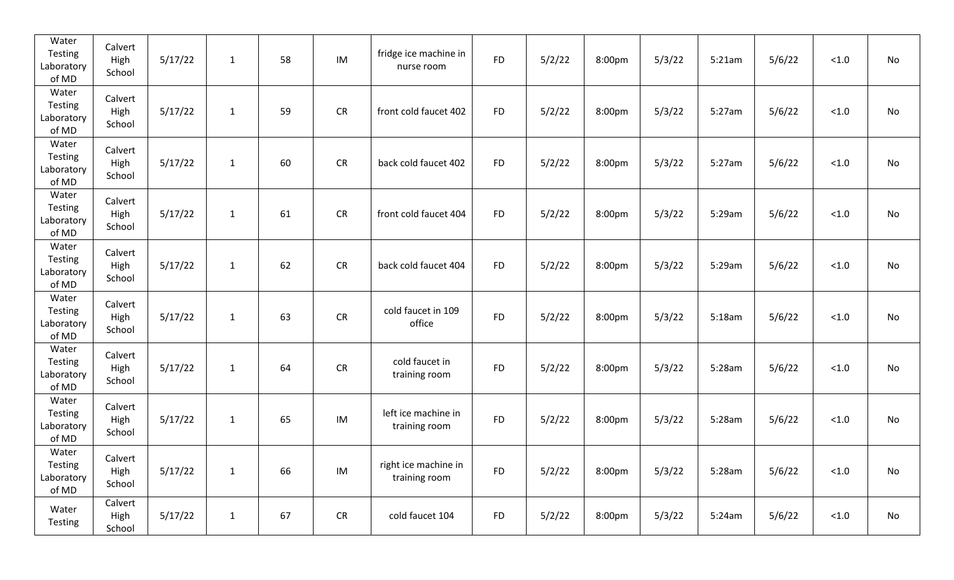| Water<br>Testing<br>Laboratory<br>of MD | Calvert<br>High<br>School | 5/17/22 | $\mathbf{1}$ | 58 | IM         | fridge ice machine in<br>nurse room   | <b>FD</b> | 5/2/22 | 8:00pm | 5/3/22 | 5:21am | 5/6/22 | $<1.0$ | No |
|-----------------------------------------|---------------------------|---------|--------------|----|------------|---------------------------------------|-----------|--------|--------|--------|--------|--------|--------|----|
| Water<br>Testing<br>Laboratory<br>of MD | Calvert<br>High<br>School | 5/17/22 | $\mathbf{1}$ | 59 | CR         | front cold faucet 402                 | <b>FD</b> | 5/2/22 | 8:00pm | 5/3/22 | 5:27am | 5/6/22 | $<1.0$ | No |
| Water<br>Testing<br>Laboratory<br>of MD | Calvert<br>High<br>School | 5/17/22 | $\mathbf{1}$ | 60 | CR         | back cold faucet 402                  | <b>FD</b> | 5/2/22 | 8:00pm | 5/3/22 | 5:27am | 5/6/22 | $<1.0$ | No |
| Water<br>Testing<br>Laboratory<br>of MD | Calvert<br>High<br>School | 5/17/22 | $\mathbf{1}$ | 61 | <b>CR</b>  | front cold faucet 404                 | <b>FD</b> | 5/2/22 | 8:00pm | 5/3/22 | 5:29am | 5/6/22 | $<1.0$ | No |
| Water<br>Testing<br>Laboratory<br>of MD | Calvert<br>High<br>School | 5/17/22 | $\mathbf{1}$ | 62 | <b>CR</b>  | back cold faucet 404                  | <b>FD</b> | 5/2/22 | 8:00pm | 5/3/22 | 5:29am | 5/6/22 | < 1.0  | No |
| Water<br>Testing<br>Laboratory<br>of MD | Calvert<br>High<br>School | 5/17/22 | $\mathbf{1}$ | 63 | <b>CR</b>  | cold faucet in 109<br>office          | <b>FD</b> | 5/2/22 | 8:00pm | 5/3/22 | 5:18am | 5/6/22 | $<1.0$ | No |
| Water<br>Testing<br>Laboratory<br>of MD | Calvert<br>High<br>School | 5/17/22 | $\mathbf{1}$ | 64 | ${\sf CR}$ | cold faucet in<br>training room       | <b>FD</b> | 5/2/22 | 8:00pm | 5/3/22 | 5:28am | 5/6/22 | $<1.0$ | No |
| Water<br>Testing<br>Laboratory<br>of MD | Calvert<br>High<br>School | 5/17/22 | 1            | 65 | IM         | left ice machine in<br>training room  | <b>FD</b> | 5/2/22 | 8:00pm | 5/3/22 | 5:28am | 5/6/22 | $<1.0$ | No |
| Water<br>Testing<br>Laboratory<br>of MD | Calvert<br>High<br>School | 5/17/22 | $\mathbf{1}$ | 66 | IM         | right ice machine in<br>training room | <b>FD</b> | 5/2/22 | 8:00pm | 5/3/22 | 5:28am | 5/6/22 | $<1.0$ | No |
| Water<br><b>Testing</b>                 | Calvert<br>High<br>School | 5/17/22 | $\mathbf{1}$ | 67 | ${\sf CR}$ | cold faucet 104                       | <b>FD</b> | 5/2/22 | 8:00pm | 5/3/22 | 5:24am | 5/6/22 | < 1.0  | No |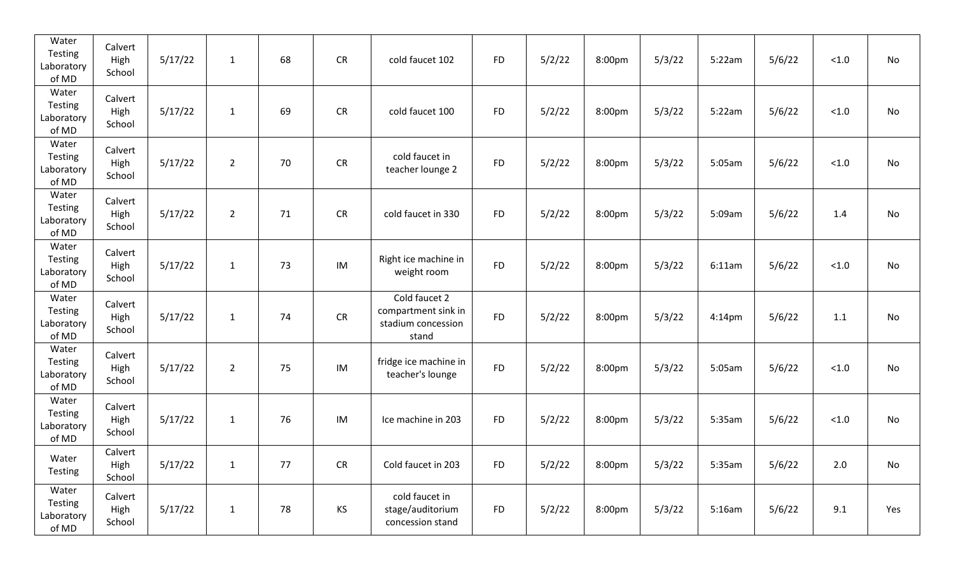| Water<br>Testing<br>Laboratory<br>of MD | Calvert<br>High<br>School | 5/17/22 | $\mathbf{1}$ | 68 | CR        | cold faucet 102                                                     | <b>FD</b> | 5/2/22 | 8:00pm | 5/3/22 | 5:22am    | 5/6/22 | $<1.0$ | No  |
|-----------------------------------------|---------------------------|---------|--------------|----|-----------|---------------------------------------------------------------------|-----------|--------|--------|--------|-----------|--------|--------|-----|
| Water<br>Testing<br>Laboratory<br>of MD | Calvert<br>High<br>School | 5/17/22 | $\mathbf{1}$ | 69 | CR        | cold faucet 100                                                     | <b>FD</b> | 5/2/22 | 8:00pm | 5/3/22 | 5:22am    | 5/6/22 | < 1.0  | No  |
| Water<br>Testing<br>Laboratory<br>of MD | Calvert<br>High<br>School | 5/17/22 | $2^{\circ}$  | 70 | CR        | cold faucet in<br>teacher lounge 2                                  | <b>FD</b> | 5/2/22 | 8:00pm | 5/3/22 | 5:05am    | 5/6/22 | $<1.0$ | No  |
| Water<br>Testing<br>Laboratory<br>of MD | Calvert<br>High<br>School | 5/17/22 | $2^{\circ}$  | 71 | CR        | cold faucet in 330                                                  | <b>FD</b> | 5/2/22 | 8:00pm | 5/3/22 | 5:09am    | 5/6/22 | 1.4    | No  |
| Water<br>Testing<br>Laboratory<br>of MD | Calvert<br>High<br>School | 5/17/22 | $\mathbf{1}$ | 73 | IM        | Right ice machine in<br>weight room                                 | <b>FD</b> | 5/2/22 | 8:00pm | 5/3/22 | 6:11am    | 5/6/22 | < 1.0  | No  |
| Water<br>Testing<br>Laboratory<br>of MD | Calvert<br>High<br>School | 5/17/22 | $\mathbf{1}$ | 74 | CR        | Cold faucet 2<br>compartment sink in<br>stadium concession<br>stand | <b>FD</b> | 5/2/22 | 8:00pm | 5/3/22 | $4:14$ pm | 5/6/22 | 1.1    | No  |
| Water<br>Testing<br>Laboratory<br>of MD | Calvert<br>High<br>School | 5/17/22 | $2^{\circ}$  | 75 | IM        | fridge ice machine in<br>teacher's lounge                           | <b>FD</b> | 5/2/22 | 8:00pm | 5/3/22 | 5:05am    | 5/6/22 | < 1.0  | No  |
| Water<br>Testing<br>Laboratory<br>of MD | Calvert<br>High<br>School | 5/17/22 | $\mathbf{1}$ | 76 | IM        | Ice machine in 203                                                  | <b>FD</b> | 5/2/22 | 8:00pm | 5/3/22 | 5:35am    | 5/6/22 | $<1.0$ | No  |
| Water<br>Testing                        | Calvert<br>High<br>School | 5/17/22 | $\mathbf{1}$ | 77 | CR        | Cold faucet in 203                                                  | <b>FD</b> | 5/2/22 | 8:00pm | 5/3/22 | 5:35am    | 5/6/22 | 2.0    | No  |
| Water<br>Testing<br>Laboratory<br>of MD | Calvert<br>High<br>School | 5/17/22 | $\mathbf{1}$ | 78 | <b>KS</b> | cold faucet in<br>stage/auditorium<br>concession stand              | <b>FD</b> | 5/2/22 | 8:00pm | 5/3/22 | 5:16am    | 5/6/22 | 9.1    | Yes |